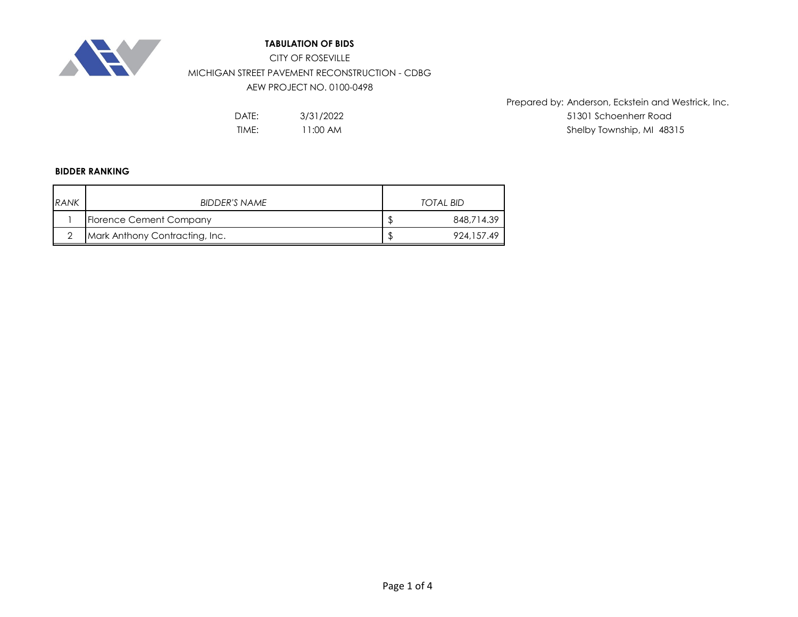

## **TABULATION OF BIDS**

CITY OF ROSEVILLE MICHIGAN STREET PAVEMENT RECONSTRUCTION - CDBG

AEW PROJECT NO. 0100-0498

TIME: 11:00 AM 12:00 AM 12:00 AM 12:00 AM 12:00 Shelby Township, MI 48315 3/31/2022 11:00 AM

Prepared by: Anderson, Eckstein and Westrick, Inc. DATE: 51301 Schoenherr Road

### **BIDDER RANKING**

| RANK | BIDDER'S NAME                  |   | TOTAL BID   |
|------|--------------------------------|---|-------------|
|      | Florence Cement Company        |   | 848,714.39  |
|      | Mark Anthony Contracting, Inc. | D | 924, 157.49 |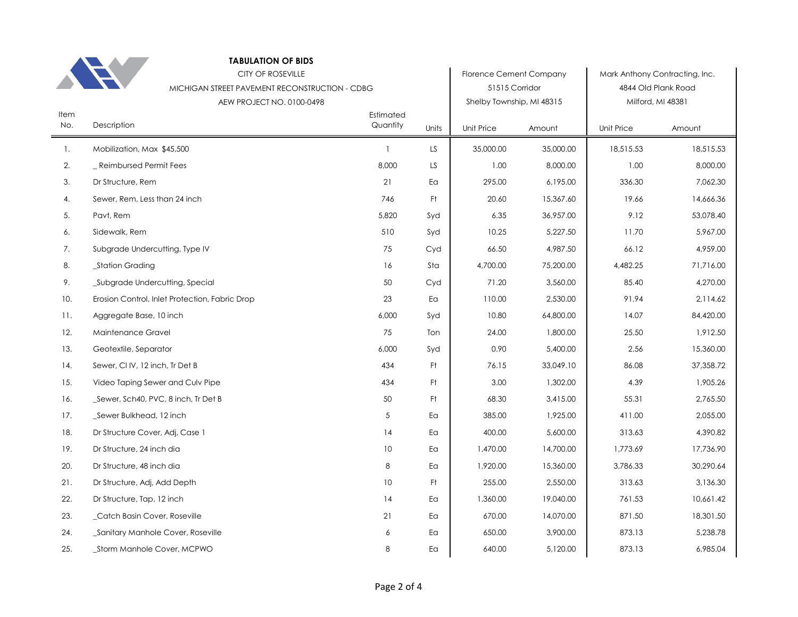|             | <b>TABULATION OF BIDS</b>                      |                       |       |                                |           |            |                                |
|-------------|------------------------------------------------|-----------------------|-------|--------------------------------|-----------|------------|--------------------------------|
|             | <b>CITY OF ROSEVILLE</b>                       |                       |       | <b>Florence Cement Company</b> |           |            | Mark Anthony Contracting, Inc. |
|             | MICHIGAN STREET PAVEMENT RECONSTRUCTION - CDBG |                       |       | 51515 Corridor                 |           |            | 4844 Old Plank Road            |
|             | AEW PROJECT NO. 0100-0498                      |                       |       | Shelby Township, MI 48315      |           |            | Milford, MI 48381              |
| Item<br>No. | Description                                    | Estimated<br>Quantity | Units | Unit Price                     | Amount    | Unit Price | Amount                         |
| 1.          | Mobilization, Max \$45,500                     | $\mathbf{1}$          | LS.   | 35,000.00                      | 35,000.00 | 18,515.53  | 18,515.53                      |
| 2.          | _ Reimbursed Permit Fees                       | 8,000                 | LS    | 1.00                           | 8,000.00  | 1.00       | 8,000.00                       |
| 3.          | Dr Structure, Rem                              | 21                    | Ea    | 295.00                         | 6,195.00  | 336.30     | 7,062.30                       |
| 4.          | Sewer, Rem, Less than 24 inch                  | 746                   | Ft.   | 20.60                          | 15,367.60 | 19.66      | 14,666.36                      |
| 5.          | Pavt, Rem                                      | 5,820                 | Syd   | 6.35                           | 36,957.00 | 9.12       | 53,078.40                      |
| 6.          | Sidewalk, Rem                                  | 510                   | Syd   | 10.25                          | 5,227.50  | 11.70      | 5,967.00                       |
| 7.          | Subgrade Undercutting, Type IV                 | 75                    | Cyd   | 66.50                          | 4,987.50  | 66.12      | 4,959.00                       |
| 8.          | _Station Grading                               | 16                    | Sta   | 4,700.00                       | 75,200.00 | 4,482.25   | 71,716.00                      |
| 9.          | _Subgrade Undercutting, Special                | 50                    | Cyd   | 71.20                          | 3,560.00  | 85.40      | 4,270.00                       |
| 10.         | Erosion Control, Inlet Protection, Fabric Drop | 23                    | Ea    | 110.00                         | 2,530.00  | 91.94      | 2,114.62                       |
| 11.         | Aggregate Base, 10 inch                        | 6,000                 | Syd   | 10.80                          | 64,800.00 | 14.07      | 84,420.00                      |
| 12.         | Maintenance Gravel                             | 75                    | Ton   | 24.00                          | 1,800.00  | 25.50      | 1,912.50                       |
| 13.         | Geotextile, Separator                          | 6,000                 | Syd   | 0.90                           | 5,400.00  | 2.56       | 15,360.00                      |
| 14.         | Sewer, CI IV, 12 inch, Tr Det B                | 434                   | Ft    | 76.15                          | 33,049.10 | 86.08      | 37,358.72                      |
| 15.         | Video Taping Sewer and Culv Pipe               | 434                   | Ft    | 3.00                           | 1,302.00  | 4.39       | 1,905.26                       |
| 16.         | _Sewer, Sch40, PVC, 8 inch, Tr Det B           | 50                    | Ft    | 68.30                          | 3,415.00  | 55.31      | 2,765.50                       |
| 17.         | Sewer Bulkhead, 12 inch                        | 5                     | Ea    | 385.00                         | 1,925.00  | 411.00     | 2,055.00                       |
| 18.         | Dr Structure Cover, Adj, Case 1                | 14                    | Ea    | 400.00                         | 5,600.00  | 313.63     | 4,390.82                       |
| 19.         | Dr Structure, 24 inch dia                      | 10                    | Ea    | 1,470.00                       | 14,700.00 | 1,773.69   | 17,736.90                      |
| 20.         | Dr Structure, 48 inch dia                      | 8                     | Ea    | 1,920.00                       | 15,360.00 | 3,786.33   | 30,290.64                      |
| 21.         | Dr Structure, Adj, Add Depth                   | 10                    | Ft    | 255.00                         | 2,550.00  | 313.63     | 3,136.30                       |
| 22.         | Dr Structure, Tap, 12 inch                     | 14                    | Ea    | 1,360.00                       | 19,040.00 | 761.53     | 10,661.42                      |
| 23.         | _Catch Basin Cover, Roseville                  | 21                    | Ea    | 670.00                         | 14,070.00 | 871.50     | 18,301.50                      |
| 24.         | Sanitary Manhole Cover, Roseville              | 6                     | Ea    | 650.00                         | 3,900.00  | 873.13     | 5,238.78                       |
| 25.         | _Storm Manhole Cover, MCPWO                    | 8                     | Ea    | 640.00                         | 5,120.00  | 873.13     | 6,985.04                       |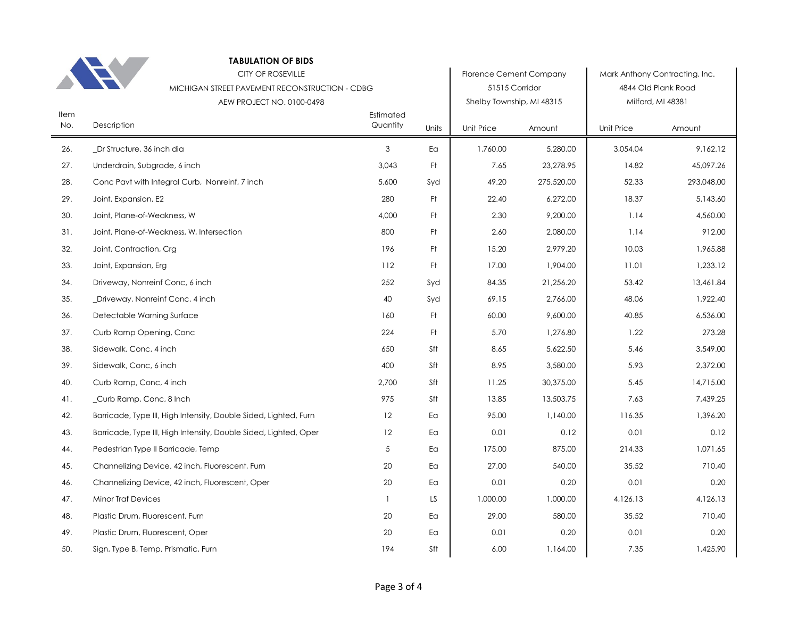|      | <b>TABULATION OF BIDS</b>                                        |              |       |                                |            |            |                                |
|------|------------------------------------------------------------------|--------------|-------|--------------------------------|------------|------------|--------------------------------|
|      | <b>CITY OF ROSEVILLE</b>                                         |              |       | <b>Florence Cement Company</b> |            |            | Mark Anthony Contracting, Inc. |
|      | MICHIGAN STREET PAVEMENT RECONSTRUCTION - CDBG                   |              |       | 51515 Corridor                 |            |            | 4844 Old Plank Road            |
| Item | AEW PROJECT NO. 0100-0498                                        | Estimated    |       | Shelby Township, MI 48315      |            |            | Milford, MI 48381              |
| No.  | Description                                                      | Quantity     | Units | Unit Price                     | Amount     | Unit Price | Amount                         |
| 26.  | _Dr Structure, 36 inch dia                                       | 3            | Ea    | 1,760.00                       | 5,280.00   | 3,054.04   | 9,162.12                       |
| 27.  | Underdrain, Subgrade, 6 inch                                     | 3,043        | Ft.   | 7.65                           | 23,278.95  | 14.82      | 45,097.26                      |
| 28.  | Conc Pavt with Integral Curb, Nonreinf, 7 inch                   | 5,600        | Syd   | 49.20                          | 275,520.00 | 52.33      | 293,048.00                     |
| 29.  | Joint, Expansion, E2                                             | 280          | Ft.   | 22.40                          | 6,272.00   | 18.37      | 5,143.60                       |
| 30.  | Joint, Plane-of-Weakness, W                                      | 4,000        | Ft.   | 2.30                           | 9,200.00   | 1.14       | 4,560.00                       |
| 31.  | Joint, Plane-of-Weakness, W, Intersection                        | 800          | Ft.   | 2.60                           | 2,080.00   | 1.14       | 912.00                         |
| 32.  | Joint, Contraction, Crg                                          | 196          | Ft    | 15.20                          | 2,979.20   | 10.03      | 1,965.88                       |
| 33.  | Joint, Expansion, Erg                                            | 112          | Ft    | 17.00                          | 1,904.00   | 11.01      | 1,233.12                       |
| 34.  | Driveway, Nonreinf Conc, 6 inch                                  | 252          | Syd   | 84.35                          | 21,256.20  | 53.42      | 13,461.84                      |
| 35.  | _Driveway, Nonreinf Conc, 4 inch                                 | 40           | Syd   | 69.15                          | 2,766.00   | 48.06      | 1,922.40                       |
| 36.  | Detectable Warning Surface                                       | 160          | Ft    | 60.00                          | 9,600.00   | 40.85      | 6,536.00                       |
| 37.  | Curb Ramp Opening, Conc                                          | 224          | Ft    | 5.70                           | 1,276.80   | 1.22       | 273.28                         |
| 38.  | Sidewalk, Conc, 4 inch                                           | 650          | Sft   | 8.65                           | 5,622.50   | 5.46       | 3,549.00                       |
| 39.  | Sidewalk, Conc, 6 inch                                           | 400          | Sft   | 8.95                           | 3,580.00   | 5.93       | 2,372.00                       |
| 40.  | Curb Ramp, Conc, 4 inch                                          | 2,700        | Sft   | 11.25                          | 30,375.00  | 5.45       | 14,715.00                      |
| 41.  | Curb Ramp, Conc, 8 Inch                                          | 975          | Sft   | 13.85                          | 13,503.75  | 7.63       | 7,439.25                       |
| 42.  | Barricade, Type III, High Intensity, Double Sided, Lighted, Furn | 12           | Ea    | 95.00                          | 1,140.00   | 116.35     | 1,396.20                       |
| 43.  | Barricade, Type III, High Intensity, Double Sided, Lighted, Oper | 12           | Ea    | 0.01                           | 0.12       | 0.01       | 0.12                           |
| 44.  | Pedestrian Type II Barricade, Temp                               | 5            | Ea    | 175.00                         | 875.00     | 214.33     | 1,071.65                       |
| 45.  | Channelizing Device, 42 inch, Fluorescent, Furn                  | 20           | Ea    | 27.00                          | 540.00     | 35.52      | 710.40                         |
| 46.  | Channelizing Device, 42 inch, Fluorescent, Oper                  | 20           | Ea    | 0.01                           | 0.20       | 0.01       | 0.20                           |
| 47.  | <b>Minor Traf Devices</b>                                        | $\mathbf{1}$ | LS    | 1,000.00                       | 1,000.00   | 4,126.13   | 4,126.13                       |
| 48.  | Plastic Drum, Fluorescent, Furn                                  | 20           | Ea    | 29.00                          | 580.00     | 35.52      | 710.40                         |
| 49.  | Plastic Drum, Fluorescent, Oper                                  | 20           | Ea    | 0.01                           | 0.20       | 0.01       | 0.20                           |
| 50.  | Sign, Type B, Temp, Prismatic, Furn                              | 194          | Sft   | 6.00                           | 1,164.00   | 7.35       | 1,425.90                       |